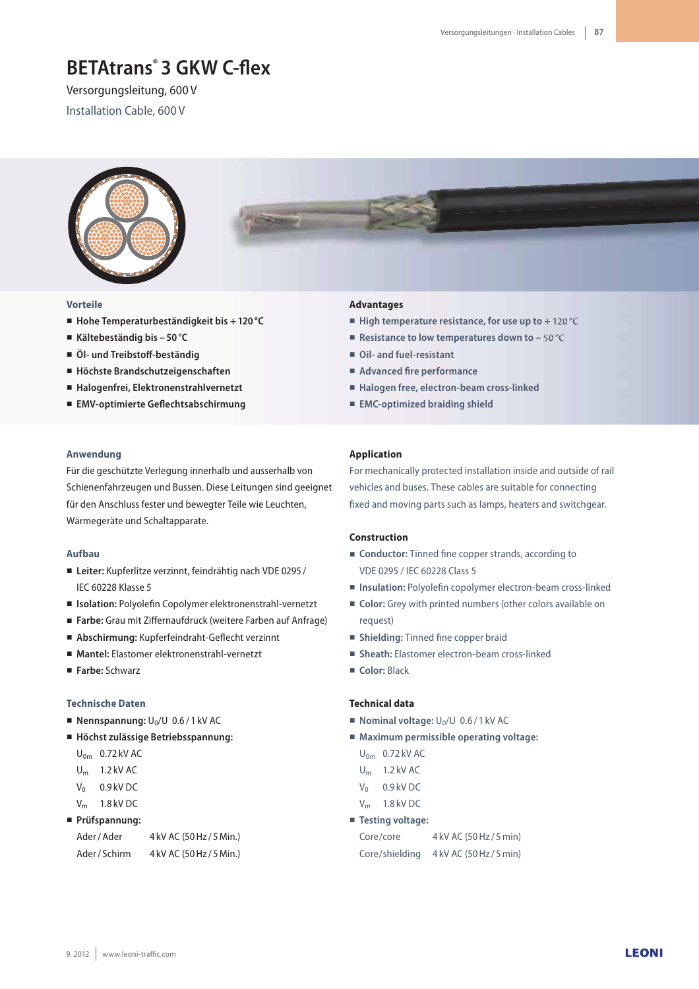# **BETAtrans<sup>®</sup> 3 GKW C-flex**

Versorgungsleitung, 600 V Installation Cable, 600 V



#### **Vorteile**

- **Hohe Temperaturbeständigkeit bis + 120 °C**
- **Kältebeständig bis 50 °C**
- $\ddot{\textbf{O}}$  **| und Treibstoff-beständig**
- **Höchste Brandschutzeigenschaften**
- **Halogenfrei, Elektronenstrahlvernetzt**
- **EMV-optimierte Geflechtsabschirmung**

#### **Anwendung**

Für die geschützte Verlegung innerhalb und ausserhalb von Schienenfahrzeugen und Bussen. Diese Leitungen sind geeignet für den Anschluss fester und bewegter Teile wie Leuchten, Wärmegeräte und Schaltapparate.

#### **Aufbau**

- **Leiter:** Kupferlitze verzinnt, feindrähtig nach VDE 0295 / IEC 60228 Klasse 5
- **Isolation:** Polyolefin Copolymer elektronenstrahl-vernetzt
- Farbe: Grau mit Ziffernaufdruck (weitere Farben auf Anfrage)
- **Abschirmung:** Kupferfeindraht-Geflecht verzinnt
- **Mantel:** Elastomer elektronenstrahl-vernetzt
- **Farbe:** Schwarz

#### **Technische Daten**

- **Nennspannung:**  $U_0/U$  0.6/1 kV AC
- **Höchst zulässige Betriebsspannung:**
	- $U_{0m}$  0.72 kV AC
	- $U_m$  1.2 kV AC
	- $V_0$  0.9 kV DC
	- $V_m$  1.8 kV DC

#### **Prüfspannung:**

| Ader/Ader   | 4 kV AC (50 Hz / 5 Min.) |
|-------------|--------------------------|
| Ader/Schirm | 4 kV AC (50 Hz / 5 Min.) |

#### **Advantages**

- **High temperature resistance, for use up to + 120 °C**
- **Resistance to low temperatures down to – 50 °C**
- **Oil- and fuel-resistant**
- Advanced fire performance
- **Halogen free, electron-beam cross-linked**
- **EMC-optimized braiding shield**

#### **Application**

For mechanically protected installation inside and outside of rail vehicles and buses. These cables are suitable for connecting fixed and moving parts such as lamps, heaters and switchgear.

#### **Construction**

- **Conductor:** Tinned fine copper strands, according to VDE 0295 / IEC 60228 Class 5
- **Insulation:** Polyolefin copolymer electron-beam cross-linked
- **Color:** Grey with printed numbers (other colors available on request)
- **Shielding:** Tinned fine copper braid
- **Sheath:** Elastomer electron-beam cross-linked
- **Color:** Black

# **Technical data**

- $\blacksquare$  **Nominal voltage:**  $U_0/U$  0.6/1 kV AC
- **Maximum permissible operating voltage:**
	- $U_{0m}$  0.72 kV AC
	- $U_m$  1.2 kV AC
	- $V_0$  0.9 kV DC
	- V<sup>m</sup> 1.8 kV DC
- **Testing voltage:**

| Core/core      | 4 kV AC (50 Hz / 5 min) |
|----------------|-------------------------|
| Core/shielding | 4 kV AC (50 Hz / 5 min) |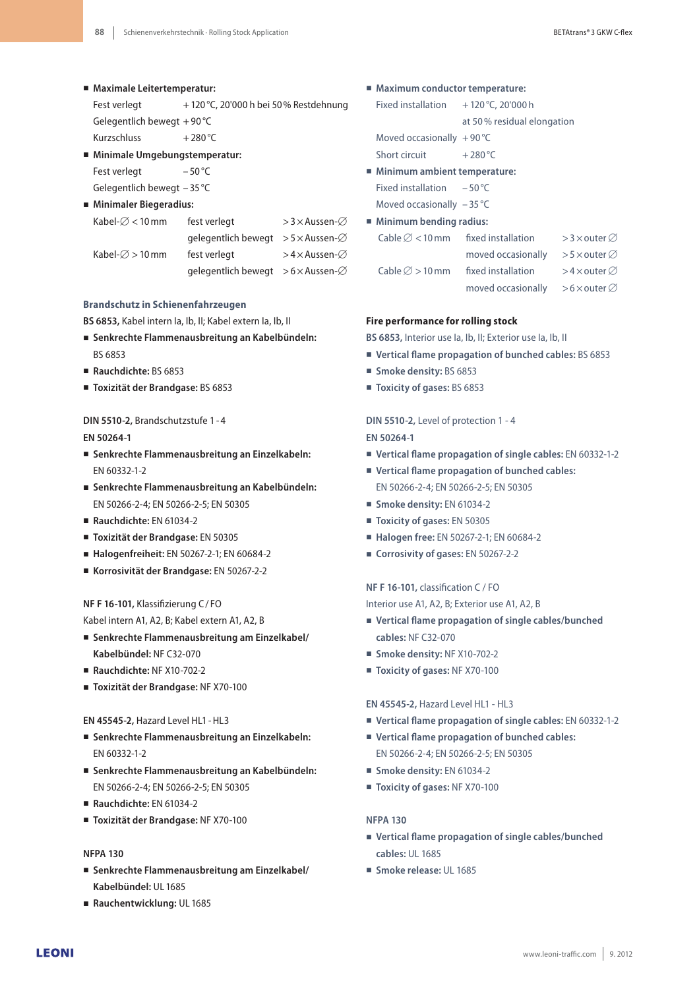- **Maximale Leitertemperatur:**
	- Fest verlegt  $+ 120 \degree C$ , 20'000 h bei 50% Restdehnung Gelegentlich bewegt + 90 °C
	- Kurzschluss  $+280^{\circ}$ C
- **Minimale Umgebungstemperatur:**

Fest verlegt - 50 °C

- Gelegentlich bewegt 35 °C
- **Minimaler Biegeradius:**

| Kabel- $\varnothing$ < 10 mm | fest verlegt                                          | > 3 $\times$ Aussen- $\varnothing$ |  |
|------------------------------|-------------------------------------------------------|------------------------------------|--|
|                              | qelegentlich bewegt $>5 \times$ Aussen- $\varnothing$ |                                    |  |
| Kabel- $\varnothing$ > 10 mm | fest verlegt                                          | >4 $\times$ Aussen- $\varnothing$  |  |
|                              | qelegentlich bewegt $>6\times$ Aussen- $\varnothing$  |                                    |  |

# **Brandschutz in Schienenfahrzeugen**

**BS 6853,** Kabel intern Ia, Ib, II; Kabel extern Ia, Ib, II

- **Senkrechte Flammenausbreitung an Kabelbündeln:** BS 6853
- **Rauchdichte:** BS 6853
- **Toxizität der Brandgase:** BS 6853

# **DIN 5510-2,** Brandschutzstufe 1- 4

## **EN 50264-1**

- **Senkrechte Flammenausbreitung an Einzelkabeln:** EN 60332-1-2
- **Senkrechte Flammenausbreitung an Kabelbündeln:** EN 50266-2-4; EN 50266-2-5; EN 50305
- **Rauchdichte:** EN 61034-2
- **Toxizität der Brandgase:** EN 50305
- **Halogenfreiheit:** EN 50267-2-1; EN 60684-2
- **Korrosivität der Brandgase:** EN 50267-2-2

# **NF F 16-101, Klassifizierung C/FO**

- Kabel intern A1, A2, B; Kabel extern A1, A2, B
- **Senkrechte Flammenausbreitung am Einzelkabel/ Kabelbündel:** NF C32-070
- **Rauchdichte:** NF X10-702-2
- **Toxizität der Brandgase:** NF X70-100

## **EN 45545-2,** Hazard Level HL1- HL3

- **Senkrechte Flammenausbreitung an Einzelkabeln:** EN 60332-1-2
- **Senkrechte Flammenausbreitung an Kabelbündeln:** EN 50266-2-4; EN 50266-2-5; EN 50305
- **Rauchdichte:** EN 61034-2
- **Toxizität der Brandgase:** NF X70-100

# **NFPA 130**

- **Senkrechte Flammenausbreitung am Einzelkabel/ Kabelbündel:** UL 1685
- **Rauchentwicklung:** UL 1685
- **Maximum conductor temperature:**
	- Fixed installation  $+120\degree$ C, 20'000 h
		- at 50 % residual elongation
	- Moved occasionally  $+90^{\circ}$ C
	- Short circuit  $+280^{\circ}$ C

# **Minimum ambient temperature:**

Fixed installation – 50 °C

- Moved occasionally 35 °C
- **Minimum bending radius:**

| Cable $\varnothing$ < 10 mm | fixed installation | > 3 $\times$ outer $\varnothing$   |
|-----------------------------|--------------------|------------------------------------|
|                             | moved occasionally | >5 $\times$ outer $\varnothing$    |
| Cable $\varnothing$ > 10 mm | fixed installation | >4 × outer $\varnothing$           |
|                             | moved occasionally | $>$ 6 $\times$ outer $\varnothing$ |

## **Fire performance for rolling stock**

**BS 6853,** Interior use Ia, Ib, II; Exterior use Ia, Ib, II

- Vertical flame propagation of bunched cables: BS 6853
- **Smoke density:** BS 6853
- **Toxicity of gases:** BS 6853

# **DIN 5510-2,** Level of protection 1 - 4 **EN 50264-1**

- **Vertical Vame propagation of single cables:** EN 60332-1-2
- **Vertical Vame propagation of bunched cables:** EN 50266-2-4; EN 50266-2-5; EN 50305
- **Smoke density:** EN 61034-2
- **Toxicity of gases:** EN 50305
- **Halogen free:** EN 50267-2-1; EN 60684-2
- **Corrosivity of gases:** EN 50267-2-2

## **NF F 16-101, classification C / FO**

Interior use A1, A2, B; Exterior use A1, A2, B

- **Vertical Vame propagation of single cables/bunched cables:** NF C32-070
- **Smoke density:** NF X10-702-2
- **Toxicity of gases:** NF X70-100

## **EN 45545-2,** Hazard Level HL1 - HL3

- **Vertical Vame propagation of single cables:** EN 60332-1-2
- **Vertical Vame propagation of bunched cables:** EN 50266-2-4; EN 50266-2-5; EN 50305
- **Smoke density:** EN 61034-2
- **Toxicity of gases:** NF X70-100

## **NFPA 130**

- **Vertical Vame propagation of single cables/bunched cables:** UL 1685
- **Smoke release:** UL 1685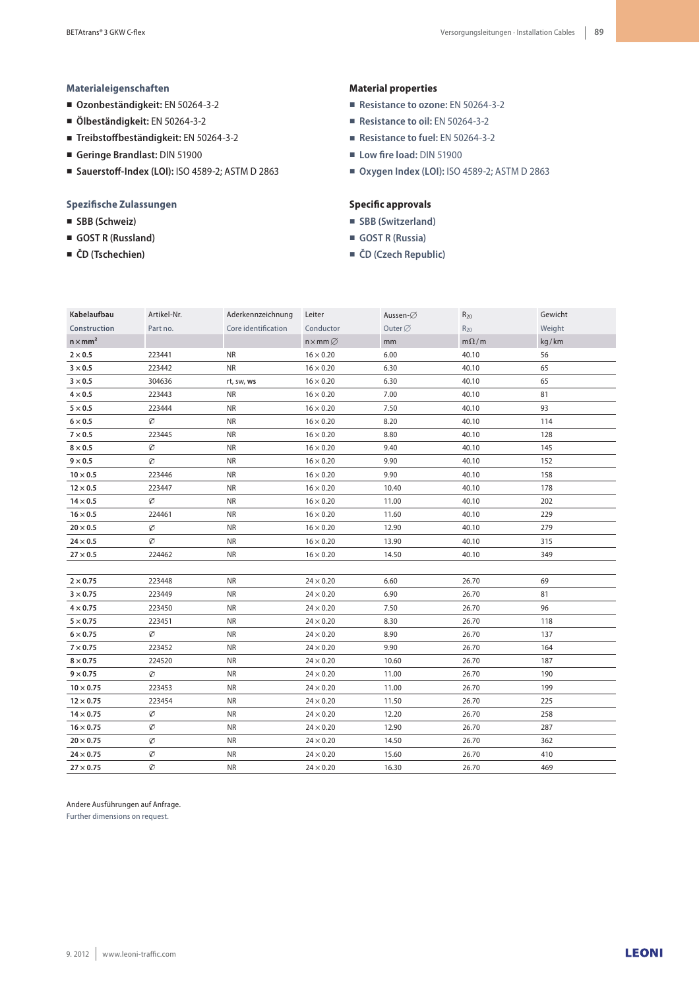#### **Materialeigenschaften**

- **Ozonbeständigkeit:** EN 50264-3-2
- **Ölbeständigkeit:** EN 50264-3-2
- **TreibstoGbeständigkeit:** EN 50264-3-2
- **Geringe Brandlast:** DIN 51900
- **SauerstoG-Index (LOI):** ISO 4589-2; ASTM D 2863

#### **Spezifische Zulassungen**

- **SBB (Schweiz)**
- **GOST R (Russland)**
- **ČD (Tschechien)**

#### **Material properties**

- **Resistance to ozone:** EN 50264-3-2
- **Resistance to oil:** EN 50264-3-2
- **Resistance to fuel:** EN 50264-3-2
- **Low fire load: DIN 51900**
- **Oxygen Index (LOI):** ISO 4589-2; ASTM D 2863

#### **Specific approvals**

- **SBB (Switzerland)**
- **GOST R (Russia)**
- **ČD (Czech Republic)**

| Kabelaufbau      | Artikel-Nr. | Aderkennzeichnung   | Leiter                | Aussen-∅            | $R_{20}$    | Gewicht |
|------------------|-------------|---------------------|-----------------------|---------------------|-------------|---------|
| Construction     | Part no.    | Core identification | Conductor             | Outer $\varnothing$ | $R_{20}$    | Weight  |
| $n \times mm2$   |             |                     | $n \times mm \oslash$ | mm                  | $m\Omega/m$ | kg/km   |
| $2\times0.5$     | 223441      | <b>NR</b>           | $16 \times 0.20$      | 6.00                | 40.10       | 56      |
| $3 \times 0.5$   | 223442      | <b>NR</b>           | $16 \times 0.20$      | 6.30                | 40.10       | 65      |
| $3 \times 0.5$   | 304636      | rt, sw, ws          | $16 \times 0.20$      | 6.30                | 40.10       | 65      |
| $4 \times 0.5$   | 223443      | <b>NR</b>           | $16 \times 0.20$      | 7.00                | 40.10       | 81      |
| $5\times0.5$     | 223444      | <b>NR</b>           | $16 \times 0.20$      | 7.50                | 40.10       | 93      |
| $6 \times 0.5$   | Ø           | <b>NR</b>           | $16 \times 0.20$      | 8.20                | 40.10       | 114     |
| $7 \times 0.5$   | 223445      | <b>NR</b>           | $16 \times 0.20$      | 8.80                | 40.10       | 128     |
| $8 \times 0.5$   | Ø           | <b>NR</b>           | $16 \times 0.20$      | 9.40                | 40.10       | 145     |
| $9 \times 0.5$   | Ø           | <b>NR</b>           | $16 \times 0.20$      | 9.90                | 40.10       | 152     |
| $10 \times 0.5$  | 223446      | <b>NR</b>           | $16 \times 0.20$      | 9.90                | 40.10       | 158     |
| $12 \times 0.5$  | 223447      | <b>NR</b>           | $16 \times 0.20$      | 10.40               | 40.10       | 178     |
| $14 \times 0.5$  | Ø           | <b>NR</b>           | $16 \times 0.20$      | 11.00               | 40.10       | 202     |
| $16 \times 0.5$  | 224461      | <b>NR</b>           | $16 \times 0.20$      | 11.60               | 40.10       | 229     |
| $20\times0.5$    | Ø           | <b>NR</b>           | $16 \times 0.20$      | 12.90               | 40.10       | 279     |
| $24 \times 0.5$  | Ø           | <b>NR</b>           | $16 \times 0.20$      | 13.90               | 40.10       | 315     |
| $27 \times 0.5$  | 224462      | <b>NR</b>           | $16 \times 0.20$      | 14.50               | 40.10       | 349     |
|                  |             |                     |                       |                     |             |         |
| $2 \times 0.75$  | 223448      | <b>NR</b>           | $24 \times 0.20$      | 6.60                | 26.70       | 69      |
| $3 \times 0.75$  | 223449      | <b>NR</b>           | $24 \times 0.20$      | 6.90                | 26.70       | 81      |
| $4 \times 0.75$  | 223450      | <b>NR</b>           | $24 \times 0.20$      | 7.50                | 26.70       | 96      |
| $5 \times 0.75$  | 223451      | <b>NR</b>           | $24 \times 0.20$      | 8.30                | 26.70       | 118     |
| $6 \times 0.75$  | Ø           | <b>NR</b>           | $24 \times 0.20$      | 8.90                | 26.70       | 137     |
| $7 \times 0.75$  | 223452      | <b>NR</b>           | $24 \times 0.20$      | 9.90                | 26.70       | 164     |
| $8\times0.75$    | 224520      | <b>NR</b>           | $24 \times 0.20$      | 10.60               | 26.70       | 187     |
| $9 \times 0.75$  | Ø           | <b>NR</b>           | $24 \times 0.20$      | 11.00               | 26.70       | 190     |
| $10 \times 0.75$ | 223453      | <b>NR</b>           | $24 \times 0.20$      | 11.00               | 26.70       | 199     |
| $12 \times 0.75$ | 223454      | <b>NR</b>           | $24 \times 0.20$      | 11.50               | 26.70       | 225     |
| $14 \times 0.75$ | Ø           | <b>NR</b>           | $24 \times 0.20$      | 12.20               | 26.70       | 258     |
| $16 \times 0.75$ | Ø           | <b>NR</b>           | $24 \times 0.20$      | 12.90               | 26.70       | 287     |
| $20 \times 0.75$ | Ø           | <b>NR</b>           | $24 \times 0.20$      | 14.50               | 26.70       | 362     |
| $24 \times 0.75$ | Ø           | <b>NR</b>           | $24 \times 0.20$      | 15.60               | 26.70       | 410     |
| $27 \times 0.75$ | Ø           | <b>NR</b>           | $24 \times 0.20$      | 16.30               | 26.70       | 469     |

Andere Ausführungen auf Anfrage.

Further dimensions on request.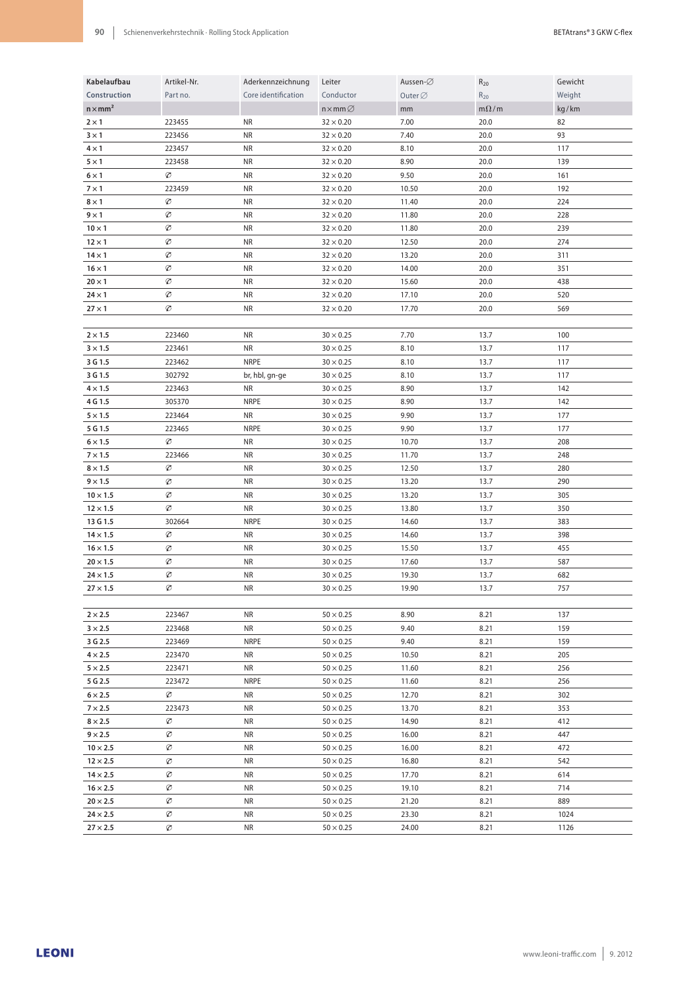| Kabelaufbau     | Artikel-Nr.   | Aderkennzeichnung   | Leiter                      | Aussen-∅            | $R_{20}$                      | Gewicht |
|-----------------|---------------|---------------------|-----------------------------|---------------------|-------------------------------|---------|
| Construction    | Part no.      | Core identification | Conductor                   | Outer $\varnothing$ | $R_{20}$                      | Weight  |
| $n \times mm2$  |               |                     | $n \times$ mm $\varnothing$ | mm                  | $\mathrm{m}\Omega/\mathrm{m}$ | kg/km   |
| $2 \times 1$    | 223455        | NR                  | $32 \times 0.20$            | 7.00                | 20.0                          | 82      |
| $3 \times 1$    | 223456        | <b>NR</b>           | $32 \times 0.20$            | 7.40                | 20.0                          | 93      |
| $4 \times 1$    | 223457        | <b>NR</b>           | $32 \times 0.20$            | 8.10                | 20.0                          | 117     |
| $5 \times 1$    | 223458        | <b>NR</b>           | $32 \times 0.20$            | 8.90                | 20.0                          | 139     |
| $6 \times 1$    | Ø             | NR                  | $32 \times 0.20$            | 9.50                | 20.0                          | 161     |
|                 |               |                     |                             |                     |                               |         |
| $7 \times 1$    | 223459        | NR                  | $32 \times 0.20$            | 10.50               | 20.0                          | 192     |
| $8 \times 1$    | Ø             | NR                  | $32 \times 0.20$            | 11.40               | 20.0                          | 224     |
| $9 \times 1$    | Ø             | <b>NR</b>           | $32 \times 0.20$            | 11.80               | 20.0                          | 228     |
| $10 \times 1$   | Ø             | <b>NR</b>           | $32 \times 0.20$            | 11.80               | 20.0                          | 239     |
| $12 \times 1$   | Ø             | <b>NR</b>           | $32 \times 0.20$            | 12.50               | 20.0                          | 274     |
| $14 \times 1$   | Ø             | <b>NR</b>           | $32 \times 0.20$            | 13.20               | 20.0                          | 311     |
| $16 \times 1$   | Ø             | <b>NR</b>           | $32 \times 0.20$            | 14.00               | 20.0                          | 351     |
| $20 \times 1$   | Ø             | <b>NR</b>           | $32 \times 0.20$            | 15.60               | 20.0                          | 438     |
| $24 \times 1$   | Ø             | <b>NR</b>           | $32 \times 0.20$            | 17.10               | 20.0                          | 520     |
| $27 \times 1$   | Ø             | <b>NR</b>           | $32 \times 0.20$            | 17.70               | 20.0                          | 569     |
|                 |               |                     |                             |                     |                               |         |
| $2 \times 1.5$  | 223460        | <b>NR</b>           | $30 \times 0.25$            | 7.70                | 13.7                          | 100     |
| $3 \times 1.5$  | 223461        | <b>NR</b>           | $30\times0.25$              | 8.10                | 13.7                          | 117     |
| 3 G 1.5         | 223462        | <b>NRPE</b>         | $30\times0.25$              | 8.10                | 13.7                          | 117     |
| 3 G 1.5         | 302792        | br, hbl, gn-ge      | $30 \times 0.25$            | 8.10                | 13.7                          | 117     |
| $4 \times 1.5$  | 223463        | <b>NR</b>           | $30 \times 0.25$            | 8.90                | 13.7                          | 142     |
| 4 G 1.5         | 305370        | <b>NRPE</b>         | $30 \times 0.25$            | 8.90                | 13.7                          | 142     |
| $5 \times 1.5$  | 223464        | <b>NR</b>           | $30\times0.25$              | 9.90                | 13.7                          | 177     |
| 5 G 1.5         | 223465        | <b>NRPE</b>         | $30\times0.25$              | 9.90                | 13.7                          | 177     |
| $6 \times 1.5$  | Ø             | <b>NR</b>           | $30\times0.25$              | 10.70               | 13.7                          | 208     |
| $7 \times 1.5$  | 223466        | <b>NR</b>           | $30 \times 0.25$            | 11.70               | 13.7                          | 248     |
| $8 \times 1.5$  | Ø             | <b>NR</b>           | $30 \times 0.25$            | 12.50               | 13.7                          | 280     |
| $9 \times 1.5$  | Ø             | <b>NR</b>           | $30 \times 0.25$            | 13.20               | 13.7                          | 290     |
| $10 \times 1.5$ | Ø             | <b>NR</b>           | $30 \times 0.25$            | 13.20               | 13.7                          | 305     |
| $12 \times 1.5$ | Ø             | <b>NR</b>           | $30 \times 0.25$            | 13.80               | 13.7                          | 350     |
| 13 G 1.5        | 302664        | <b>NRPE</b>         | $30 \times 0.25$            | 14.60               | 13.7                          | 383     |
| $14 \times 1.5$ | Ø             | <b>NR</b>           | $30\times0.25$              | 14.60               | 13.7                          | 398     |
| $16 \times 1.5$ | Ø             | <b>NR</b>           | $30\times0.25$              | 15.50               | 13.7                          | 455     |
| $20 \times 1.5$ | $\varnothing$ | <b>NR</b>           | $30 \times 0.25$            | 17.60               | 13.7                          | 587     |
| $24 \times 1.5$ | $\varnothing$ | <b>NR</b>           | $30 \times 0.25$            | 19.30               | 13.7                          | 682     |
| $27 \times 1.5$ | Ø             | <b>NR</b>           | $30 \times 0.25$            | 19.90               | 13.7                          | 757     |
|                 |               |                     |                             |                     |                               |         |
| $2 \times 2.5$  | 223467        | NR                  | $50 \times 0.25$            | 8.90                | 8.21                          | 137     |
| $3 \times 2.5$  | 223468        | <b>NR</b>           | $50 \times 0.25$            | 9.40                | 8.21                          | 159     |
| 3 G 2.5         | 223469        | <b>NRPE</b>         | $50 \times 0.25$            | 9.40                | 8.21                          | 159     |
| $4 \times 2.5$  | 223470        | <b>NR</b>           | $50 \times 0.25$            | 10.50               | 8.21                          | 205     |
| $5 \times 2.5$  | 223471        | <b>NR</b>           | $50 \times 0.25$            | 11.60               | 8.21                          | 256     |
| 5 G 2.5         | 223472        | <b>NRPE</b>         | $50 \times 0.25$            | 11.60               | 8.21                          | 256     |
| $6 \times 2.5$  | Ø             | <b>NR</b>           | $50 \times 0.25$            | 12.70               | 8.21                          | 302     |
| $7 \times 2.5$  | 223473        | <b>NR</b>           | $50 \times 0.25$            | 13.70               | 8.21                          | 353     |
| $8 \times 2.5$  | Ø             | <b>NR</b>           | $50 \times 0.25$            | 14.90               | 8.21                          | 412     |
| $9 \times 2.5$  | Ø             | <b>NR</b>           | $50 \times 0.25$            | 16.00               | 8.21                          | 447     |
|                 | Ø             | <b>NR</b>           |                             |                     | 8.21                          | 472     |
| $10 \times 2.5$ |               |                     | $50 \times 0.25$            | 16.00               |                               |         |
| $12 \times 2.5$ | Ø             | <b>NR</b>           | $50 \times 0.25$            | 16.80               | 8.21                          | 542     |
| $14 \times 2.5$ | Ø             | <b>NR</b>           | $50 \times 0.25$            | 17.70               | 8.21                          | 614     |
| $16 \times 2.5$ | Ø             | <b>NR</b>           | $50 \times 0.25$            | 19.10               | 8.21                          | 714     |
| $20 \times 2.5$ | Ø             | <b>NR</b>           | $50 \times 0.25$            | 21.20               | 8.21                          | 889     |
| $24 \times 2.5$ | Ø             | <b>NR</b>           | $50 \times 0.25$            | 23.30               | 8.21                          | 1024    |
| $27 \times 2.5$ | Ø             | <b>NR</b>           | $50 \times 0.25$            | 24.00               | 8.21                          | 1126    |